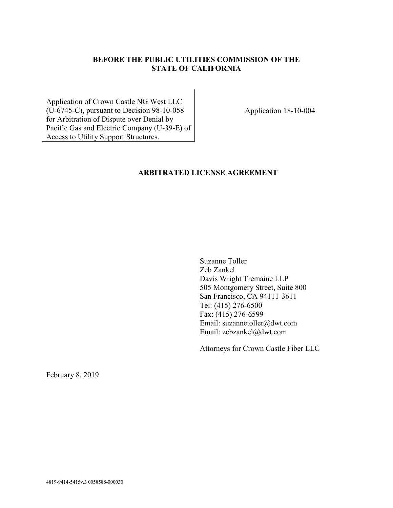# **BEFORE THE PUBLIC UTILITIES COMMISSION OF THE STATE OF CALIFORNIA**

Application of Crown Castle NG West LLC (U-6745-C), pursuant to Decision 98-10-058 for Arbitration of Dispute over Denial by Pacific Gas and Electric Company (U-39-E) of Access to Utility Support Structures.

Application 18-10-004

### **ARBITRATED LICENSE AGREEMENT**

Suzanne Toller Zeb Zankel Davis Wright Tremaine LLP 505 Montgomery Street, Suite 800 San Francisco, CA 94111-3611 Tel: (415) 276-6500 Fax: (415) 276-6599 Email: suzannetoller@dwt.com Email: zebzankel@dwt.com

Attorneys for Crown Castle Fiber LLC

February 8, 2019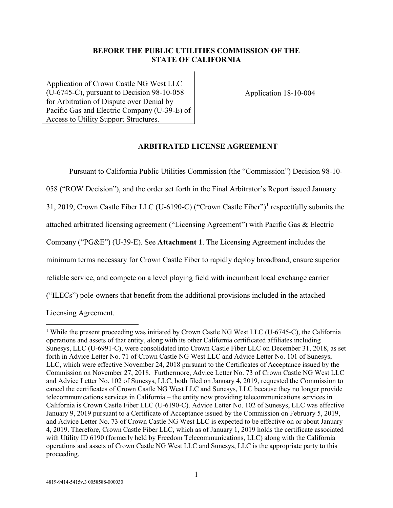### **BEFORE THE PUBLIC UTILITIES COMMISSION OF THE STATE OF CALIFORNIA**

Application of Crown Castle NG West LLC (U-6745-C), pursuant to Decision 98-10-058 for Arbitration of Dispute over Denial by Pacific Gas and Electric Company (U-39-E) of Access to Utility Support Structures.

Application 18-10-004

### **ARBITRATED LICENSE AGREEMENT**

Pursuant to California Public Utilities Commission (the "Commission") Decision 98-10- 058 ("ROW Decision"), and the order set forth in the Final Arbitrator's Report issued January 31, 2019, Crown Castle Fiber LLC (U-6190-C) ("Crown Castle Fiber")<sup>1</sup> respectfully submits the attached arbitrated licensing agreement ("Licensing Agreement") with Pacific Gas & Electric Company ("PG&E") (U-39-E). See **Attachment 1**. The Licensing Agreement includes the minimum terms necessary for Crown Castle Fiber to rapidly deploy broadband, ensure superior reliable service, and compete on a level playing field with incumbent local exchange carrier ("ILECs") pole-owners that benefit from the additional provisions included in the attached

Licensing Agreement.

<sup>&</sup>lt;sup>1</sup> While the present proceeding was initiated by Crown Castle NG West LLC (U-6745-C), the California operations and assets of that entity, along with its other California certificated affiliates including Sunesys, LLC (U-6991-C), were consolidated into Crown Castle Fiber LLC on December 31, 2018, as set forth in Advice Letter No. 71 of Crown Castle NG West LLC and Advice Letter No. 101 of Sunesys, LLC, which were effective November 24, 2018 pursuant to the Certificates of Acceptance issued by the Commission on November 27, 2018. Furthermore, Advice Letter No. 73 of Crown Castle NG West LLC and Advice Letter No. 102 of Sunesys, LLC, both filed on January 4, 2019, requested the Commission to cancel the certificates of Crown Castle NG West LLC and Sunesys, LLC because they no longer provide telecommunications services in California – the entity now providing telecommunications services in California is Crown Castle Fiber LLC (U-6190-C). Advice Letter No. 102 of Sunesys, LLC was effective January 9, 2019 pursuant to a Certificate of Acceptance issued by the Commission on February 5, 2019, and Advice Letter No. 73 of Crown Castle NG West LLC is expected to be effective on or about January 4, 2019. Therefore, Crown Castle Fiber LLC, which as of January 1, 2019 holds the certificate associated with Utility ID 6190 (formerly held by Freedom Telecommunications, LLC) along with the California operations and assets of Crown Castle NG West LLC and Sunesys, LLC is the appropriate party to this proceeding.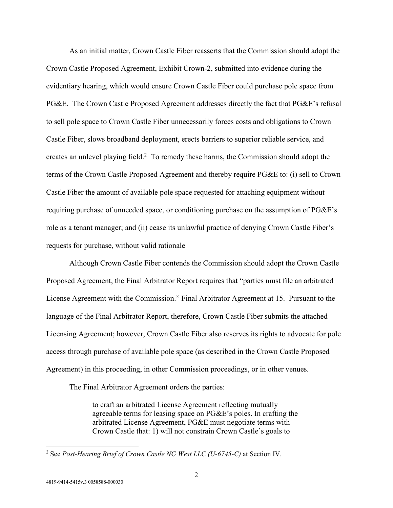As an initial matter, Crown Castle Fiber reasserts that the Commission should adopt the Crown Castle Proposed Agreement, Exhibit Crown-2, submitted into evidence during the evidentiary hearing, which would ensure Crown Castle Fiber could purchase pole space from PG&E. The Crown Castle Proposed Agreement addresses directly the fact that PG&E's refusal to sell pole space to Crown Castle Fiber unnecessarily forces costs and obligations to Crown Castle Fiber, slows broadband deployment, erects barriers to superior reliable service, and creates an unlevel playing field.<sup>2</sup> To remedy these harms, the Commission should adopt the terms of the Crown Castle Proposed Agreement and thereby require PG&E to: (i) sell to Crown Castle Fiber the amount of available pole space requested for attaching equipment without requiring purchase of unneeded space, or conditioning purchase on the assumption of PG&E's role as a tenant manager; and (ii) cease its unlawful practice of denying Crown Castle Fiber's requests for purchase, without valid rationale

Although Crown Castle Fiber contends the Commission should adopt the Crown Castle Proposed Agreement, the Final Arbitrator Report requires that "parties must file an arbitrated License Agreement with the Commission." Final Arbitrator Agreement at 15. Pursuant to the language of the Final Arbitrator Report, therefore, Crown Castle Fiber submits the attached Licensing Agreement; however, Crown Castle Fiber also reserves its rights to advocate for pole access through purchase of available pole space (as described in the Crown Castle Proposed Agreement) in this proceeding, in other Commission proceedings, or in other venues.

The Final Arbitrator Agreement orders the parties:

to craft an arbitrated License Agreement reflecting mutually agreeable terms for leasing space on PG&E's poles. In crafting the arbitrated License Agreement, PG&E must negotiate terms with Crown Castle that: 1) will not constrain Crown Castle's goals to

<sup>2</sup> See *Post-Hearing Brief of Crown Castle NG West LLC (U-6745-C)* at Section IV.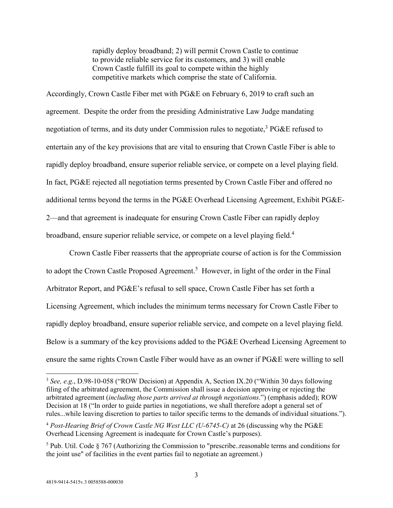rapidly deploy broadband; 2) will permit Crown Castle to continue to provide reliable service for its customers, and 3) will enable Crown Castle fulfill its goal to compete within the highly competitive markets which comprise the state of California.

Accordingly, Crown Castle Fiber met with PG&E on February 6, 2019 to craft such an agreement. Despite the order from the presiding Administrative Law Judge mandating negotiation of terms, and its duty under Commission rules to negotiate,<sup>3</sup> PG&E refused to entertain any of the key provisions that are vital to ensuring that Crown Castle Fiber is able to rapidly deploy broadband, ensure superior reliable service, or compete on a level playing field. In fact, PG&E rejected all negotiation terms presented by Crown Castle Fiber and offered no additional terms beyond the terms in the PG&E Overhead Licensing Agreement, Exhibit PG&E-2—and that agreement is inadequate for ensuring Crown Castle Fiber can rapidly deploy broadband, ensure superior reliable service, or compete on a level playing field.<sup>4</sup>

Crown Castle Fiber reasserts that the appropriate course of action is for the Commission to adopt the Crown Castle Proposed Agreement.<sup>5</sup> However, in light of the order in the Final Arbitrator Report, and PG&E's refusal to sell space, Crown Castle Fiber has set forth a Licensing Agreement, which includes the minimum terms necessary for Crown Castle Fiber to rapidly deploy broadband, ensure superior reliable service, and compete on a level playing field. Below is a summary of the key provisions added to the PG&E Overhead Licensing Agreement to ensure the same rights Crown Castle Fiber would have as an owner if PG&E were willing to sell

<sup>3</sup> *See, e.g*., D.98-10-058 ("ROW Decision) at Appendix A, Section IX.20 ("Within 30 days following filing of the arbitrated agreement, the Commission shall issue a decision approving or rejecting the arbitrated agreement (*including those parts arrived at through negotiations*.") (emphasis added); ROW Decision at 18 ("In order to guide parties in negotiations, we shall therefore adopt a general set of rules...while leaving discretion to parties to tailor specific terms to the demands of individual situations.").

<sup>4</sup> *Post-Hearing Brief of Crown Castle NG West LLC (U-6745-C)* at 26 (discussing why the PG&E Overhead Licensing Agreement is inadequate for Crown Castle's purposes).

<sup>&</sup>lt;sup>5</sup> Pub. Util. Code  $\S 767$  (Authorizing the Commission to "prescribe..reasonable terms and conditions for the joint use" of facilities in the event parties fail to negotiate an agreement.)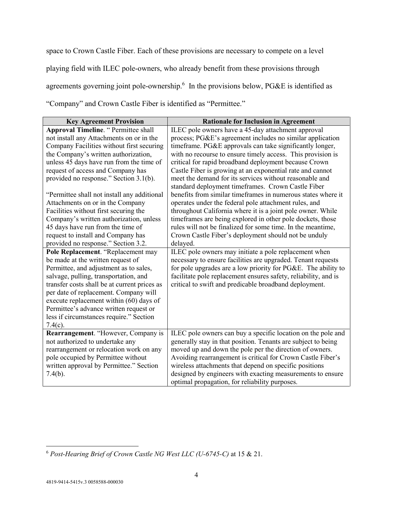space to Crown Castle Fiber. Each of these provisions are necessary to compete on a level playing field with ILEC pole-owners, who already benefit from these provisions through agreements governing joint pole-ownership.<sup>6</sup> In the provisions below, PG&E is identified as "Company" and Crown Castle Fiber is identified as "Permittee."

| <b>Key Agreement Provision</b>               | <b>Rationale for Inclusion in Agreement</b>                                                                        |
|----------------------------------------------|--------------------------------------------------------------------------------------------------------------------|
| <b>Approval Timeline. " Permittee shall</b>  | ILEC pole owners have a 45-day attachment approval                                                                 |
| not install any Attachments on or in the     | process; PG&E's agreement includes no similar application                                                          |
| Company Facilities without first securing    | timeframe. PG&E approvals can take significantly longer,                                                           |
| the Company's written authorization,         | with no recourse to ensure timely access. This provision is                                                        |
| unless 45 days have run from the time of     | critical for rapid broadband deployment because Crown                                                              |
| request of access and Company has            | Castle Fiber is growing at an exponential rate and cannot                                                          |
| provided no response." Section 3.1(b).       | meet the demand for its services without reasonable and                                                            |
| "Permittee shall not install any additional  | standard deployment timeframes. Crown Castle Fiber<br>benefits from similar timeframes in numerous states where it |
| Attachments on or in the Company             | operates under the federal pole attachment rules, and                                                              |
| Facilities without first securing the        | throughout California where it is a joint pole owner. While                                                        |
| Company's written authorization, unless      | timeframes are being explored in other pole dockets, those                                                         |
| 45 days have run from the time of            | rules will not be finalized for some time. In the meantime,                                                        |
| request to install and Company has           | Crown Castle Fiber's deployment should not be unduly                                                               |
| provided no response." Section 3.2.          | delayed.                                                                                                           |
| Pole Replacement. "Replacement may           | ILEC pole owners may initiate a pole replacement when                                                              |
| be made at the written request of            | necessary to ensure facilities are upgraded. Tenant requests                                                       |
| Permittee, and adjustment as to sales,       | for pole upgrades are a low priority for PG&E. The ability to                                                      |
| salvage, pulling, transportation, and        | facilitate pole replacement ensures safety, reliability, and is                                                    |
| transfer costs shall be at current prices as | critical to swift and predicable broadband deployment.                                                             |
| per date of replacement. Company will        |                                                                                                                    |
| execute replacement within (60) days of      |                                                                                                                    |
| Permittee's advance written request or       |                                                                                                                    |
| less if circumstances require." Section      |                                                                                                                    |
| $7.4(c)$ .                                   |                                                                                                                    |
| Rearrangement. "However, Company is          | ILEC pole owners can buy a specific location on the pole and                                                       |
| not authorized to undertake any              | generally stay in that position. Tenants are subject to being                                                      |
| rearrangement or relocation work on any      | moved up and down the pole per the direction of owners.                                                            |
| pole occupied by Permittee without           | Avoiding rearrangement is critical for Crown Castle Fiber's                                                        |
| written approval by Permittee." Section      | wireless attachments that depend on specific positions                                                             |
| $7.4(b)$ .                                   | designed by engineers with exacting measurements to ensure                                                         |
|                                              | optimal propagation, for reliability purposes.                                                                     |

<sup>6</sup> *Post-Hearing Brief of Crown Castle NG West LLC (U-6745-C)* at 15 & 21.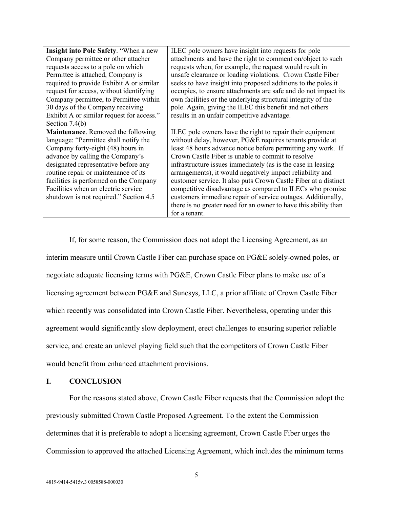| <b>Insight into Pole Safety. "When a new</b> | ILEC pole owners have insight into requests for pole            |
|----------------------------------------------|-----------------------------------------------------------------|
| Company permittee or other attacher          | attachments and have the right to comment on/object to such     |
| requests access to a pole on which           | requests when, for example, the request would result in         |
| Permittee is attached, Company is            | unsafe clearance or loading violations. Crown Castle Fiber      |
| required to provide Exhibit A or similar     | seeks to have insight into proposed additions to the poles it   |
| request for access, without identifying      | occupies, to ensure attachments are safe and do not impact its  |
| Company permittee, to Permittee within       | own facilities or the underlying structural integrity of the    |
| 30 days of the Company receiving             | pole. Again, giving the ILEC this benefit and not others        |
| Exhibit A or similar request for access."    | results in an unfair competitive advantage.                     |
| Section 7.4(b)                               |                                                                 |
| Maintenance. Removed the following           | ILEC pole owners have the right to repair their equipment       |
| language: "Permittee shall notify the        | without delay, however, PG&E requires tenants provide at        |
| Company forty-eight (48) hours in            | least 48 hours advance notice before permitting any work. If    |
| advance by calling the Company's             | Crown Castle Fiber is unable to commit to resolve               |
| designated representative before any         | infrastructure issues immediately (as is the case in leasing    |
| routine repair or maintenance of its         | arrangements), it would negatively impact reliability and       |
| facilities is performed on the Company       | customer service. It also puts Crown Castle Fiber at a distinct |
| Facilities when an electric service          | competitive disadvantage as compared to ILECs who promise       |
| shutdown is not required." Section 4.5       | customers immediate repair of service outages. Additionally,    |
|                                              | there is no greater need for an owner to have this ability than |
|                                              | for a tenant.                                                   |

If, for some reason, the Commission does not adopt the Licensing Agreement, as an interim measure until Crown Castle Fiber can purchase space on PG&E solely-owned poles, or negotiate adequate licensing terms with PG&E, Crown Castle Fiber plans to make use of a licensing agreement between PG&E and Sunesys, LLC, a prior affiliate of Crown Castle Fiber which recently was consolidated into Crown Castle Fiber. Nevertheless, operating under this agreement would significantly slow deployment, erect challenges to ensuring superior reliable service, and create an unlevel playing field such that the competitors of Crown Castle Fiber would benefit from enhanced attachment provisions.

## **I. CONCLUSION**

For the reasons stated above, Crown Castle Fiber requests that the Commission adopt the previously submitted Crown Castle Proposed Agreement. To the extent the Commission determines that it is preferable to adopt a licensing agreement, Crown Castle Fiber urges the Commission to approved the attached Licensing Agreement, which includes the minimum terms